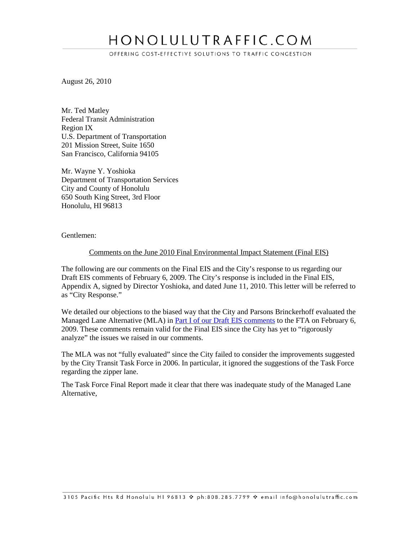# HONOLULUTRAFFIC.COM

OFFERING COST-EFFECTIVE SOLUTIONS TO TRAFFIC CONGESTION

August 26, 2010

Mr. Ted Matley Federal Transit Administration Region IX U.S. Department of Transportation 201 Mission Street, Suite 1650 San Francisco, California 94105

Mr. Wayne Y. Yoshioka Department of Transportation Services City and County of Honolulu 650 South King Street, 3rd Floor Honolulu, HI 96813

Gentlemen:

#### Comments on the June 2010 Final Environmental Impact Statement (Final EIS)

The following are our comments on the Final EIS and the City's response to us regarding our Draft EIS comments of February 6, 2009. The City's response is included in the Final EIS, Appendix A, signed by Director Yoshioka, and dated June 11, 2010. This letter will be referred to as "City Response."

We detailed our objections to the biased way that the City and Parsons Brinckerhoff evaluated the Managed Lane Alternative (MLA) in [Part I of our Draft EIS comments](http://www.honolulutraffic.com/DEIS_Comments8_I.pdf) to the FTA on February 6, 2009. These comments remain valid for the Final EIS since the City has yet to "rigorously analyze" the issues we raised in our comments.

The MLA was not "fully evaluated" since the City failed to consider the improvements suggested by the City Transit Task Force in 2006. In particular, it ignored the suggestions of the Task Force regarding the zipper lane.

The Task Force Final Report made it clear that there was inadequate study of the Managed Lane Alternative,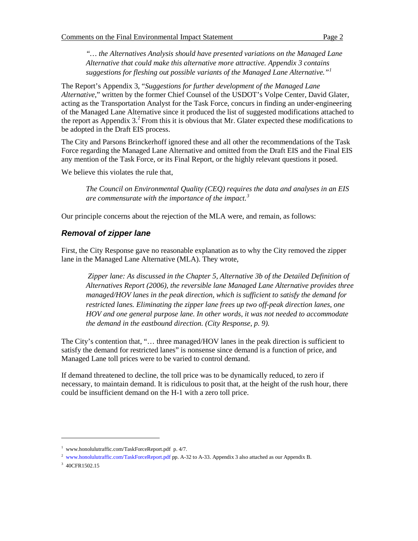*"… the Alternatives Analysis should have presented variations on the Managed Lane Alternative that could make this alternative more attractive. Appendix 3 contains suggestions for fleshing out possible variants of the Managed Lane Alternative."[1](#page-1-0)*

The Report's Appendix 3, "*Suggestions for further development of the Managed Lane Alternative*," written by the former Chief Counsel of the USDOT's Volpe Center, David Glater, acting as the Transportation Analyst for the Task Force, concurs in finding an under-engineering of the Managed Lane Alternative since it produced the list of suggested modifications attached to the report as Appendix 3.<sup>[2](#page-1-1)</sup> From this it is obvious that Mr. Glater expected these modifications to be adopted in the Draft EIS process.

The City and Parsons Brinckerhoff ignored these and all other the recommendations of the Task Force regarding the Managed Lane Alternative and omitted from the Draft EIS and the Final EIS any mention of the Task Force, or its Final Report, or the highly relevant questions it posed.

We believe this violates the rule that,

*The Council on Environmental Quality (CEQ) requires the data and analyses in an EIS are commensurate with the importance of the impact.[3](#page-1-2)*

Our principle concerns about the rejection of the MLA were, and remain, as follows:

## *Removal of zipper lane*

First, the City Response gave no reasonable explanation as to why the City removed the zipper lane in the Managed Lane Alternative (MLA). They wrote,

*Zipper lane: As discussed in the Chapter 5, Alternative 3b of the Detailed Definition of Alternatives Report (2006), the reversible lane Managed Lane Alternative provides three managed/HOV lanes in the peak direction, which is sufficient to satisfy the demand for restricted lanes. Eliminating the zipper lane frees up two off-peak direction lanes, one HOV and one general purpose lane. In other words, it was not needed to accommodate the demand in the eastbound direction. (City Response, p. 9).*

The City's contention that, "… three managed/HOV lanes in the peak direction is sufficient to satisfy the demand for restricted lanes" is nonsense since demand is a function of price, and Managed Lane toll prices were to be varied to control demand.

If demand threatened to decline, the toll price was to be dynamically reduced, to zero if necessary, to maintain demand. It is ridiculous to posit that, at the height of the rush hour, there could be insufficient demand on the H-1 with a zero toll price.

<span id="page-1-0"></span><sup>1</sup> www.honolulutraffic.com/TaskForceReport.pdf p. 4/7.

<span id="page-1-1"></span><sup>&</sup>lt;sup>2</sup> www.honolulutraffic.com/TaskForceReport.pdf pp. A-32 to A-33. Appendix 3 also attached as our Appendix B.

<span id="page-1-2"></span><sup>3</sup> 40CFR1502.15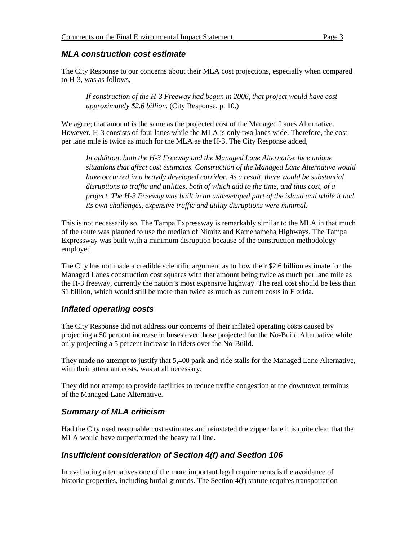#### *MLA construction cost estimate*

The City Response to our concerns about their MLA cost projections, especially when compared to H-3, was as follows,

*If construction of the H-3 Freeway had begun in 2006, that project would have cost approximately \$2.6 billion.* (City Response, p. 10.)

We agree; that amount is the same as the projected cost of the Managed Lanes Alternative. However, H-3 consists of four lanes while the MLA is only two lanes wide. Therefore, the cost per lane mile is twice as much for the MLA as the H-3. The City Response added,

*In addition, both the H-3 Freeway and the Managed Lane Alternative face unique situations that affect cost estimates. Construction of the Managed Lane Alternative would have occurred in a heavily developed corridor. As a result, there would be substantial disruptions to traffic and utilities, both of which add to the time, and thus cost, of a project. The H-3 Freeway was built in an undeveloped part of the island and while it had its own challenges, expensive traffic and utility disruptions were minimal.*

This is not necessarily so. The Tampa Expressway is remarkably similar to the MLA in that much of the route was planned to use the median of Nimitz and Kamehameha Highways. The Tampa Expressway was built with a minimum disruption because of the construction methodology employed.

The City has not made a credible scientific argument as to how their \$2.6 billion estimate for the Managed Lanes construction cost squares with that amount being twice as much per lane mile as the H-3 freeway, currently the nation's most expensive highway. The real cost should be less than \$1 billion, which would still be more than twice as much as current costs in Florida.

#### *Inflated operating costs*

The City Response did not address our concerns of their inflated operating costs caused by projecting a 50 percent increase in buses over those projected for the No-Build Alternative while only projecting a 5 percent increase in riders over the No-Build.

They made no attempt to justify that 5,400 park-and-ride stalls for the Managed Lane Alternative, with their attendant costs, was at all necessary.

They did not attempt to provide facilities to reduce traffic congestion at the downtown terminus of the Managed Lane Alternative.

#### *Summary of MLA criticism*

Had the City used reasonable cost estimates and reinstated the zipper lane it is quite clear that the MLA would have outperformed the heavy rail line.

## *Insufficient consideration of Section 4(f) and Section 106*

In evaluating alternatives one of the more important legal requirements is the avoidance of historic properties, including burial grounds. The Section 4(f) statute requires transportation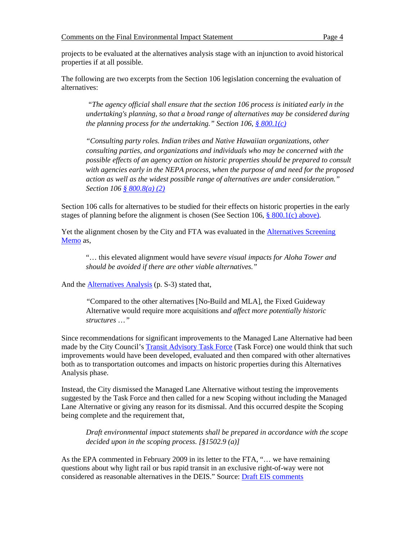projects to be evaluated at the alternatives analysis stage with an injunction to avoid historical properties if at all possible.

The following are two excerpts from the Section 106 legislation concerning the evaluation of alternatives:

*"The agency official shall ensure that the section 106 process is initiated early in the undertaking's planning, so that a broad range of alternatives may be considered during the planning process for the undertaking." Section 106, [§ 800.1\(c\)](http://www.achp.gov/regs-rev04.pdf)*

*"Consulting party roles. Indian tribes and Native Hawaiian organizations, other consulting parties, and organizations and individuals who may be concerned with the possible effects of an agency action on historic properties should be prepared to consult with agencies early in the NEPA process, when the purpose of and need for the proposed action as well as the widest possible range of alternatives are under consideration." Section 106 [§ 800.8\(a\) \(2\)](http://www.achp.gov/regs-rev04.pdf)*

Section 106 calls for alternatives to be studied for their effects on historic properties in the early stages of planning before the alignment is chosen (See Section 106,  $\S$  800.1(c) above).

Yet the alignment chosen by the City and FTA was evaluated in the [Alternatives Screening](http://www.honolulutraffic.com/AlternativeScreeningMemo.pdf)  [Memo](http://www.honolulutraffic.com/AlternativeScreeningMemo.pdf) as,

"… this elevated alignment would have sev*ere visual impacts for Aloha Tower and should be avoided if there are other viable alternatives."* 

And the **Alternatives Analysis** (p. S-3) stated that,

*"*Compared to the other alternatives [No-Build and MLA], the Fixed Guideway Alternative would require more acquisitions an*d affect more potentially historic structures* …*"* 

Since recommendations for significant improvements to the Managed Lane Alternative had been made by the City Council'[s Transit Advisory Task Force](http://www.honolulutraffic.com/TaskForceReport.pdf) (Task Force) one would think that such improvements would have been developed, evaluated and then compared with other alternatives both as to transportation outcomes and impacts on historic properties during this Alternatives Analysis phase.

Instead, the City dismissed the Managed Lane Alternative without testing the improvements suggested by the Task Force and then called for a new Scoping without including the Managed Lane Alternative or giving any reason for its dismissal. And this occurred despite the Scoping being complete and the requirement that,

*Draft environmental impact statements shall be prepared in accordance with the scope decided upon in the scoping process. [§1502.9 (a)]*

As the EPA commented in February 2009 in its letter to the FTA, "… we have remaining questions about why light rail or bus rapid transit in an exclusive right-of-way were not considered as reasonable alternatives in the DEIS." Source: [Draft EIS comments](http://www.honolulutraffic.com/EPA_HonoluluDEIS.pdf)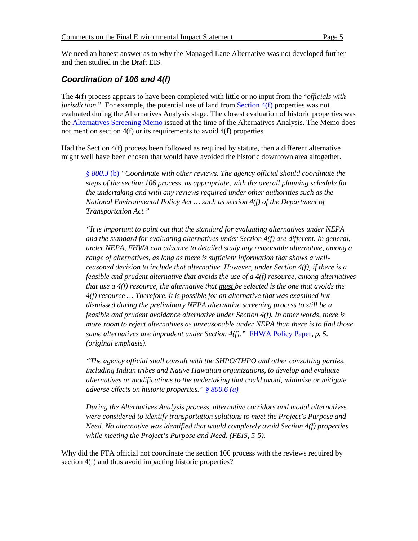We need an honest answer as to why the Managed Lane Alternative was not developed further and then studied in the Draft EIS.

## *Coordination of 106 and 4(f)*

The 4(f) process appears to have been completed with little or no input from the "*officials with jurisdiction.*" For example, the potential use of land from **Section 4(f)** properties was not evaluated during the Alternatives Analysis stage. The closest evaluation of historic properties was the [Alternatives Screening Memo](http://www.honolulutraffic.com/AlternativeScreeningMemo.pdf) issued at the time of the Alternatives Analysis. The Memo does not mention section 4(f) or its requirements to avoid 4(f) properties.

Had the Section 4(f) process been followed as required by statute, then a different alternative might well have been chosen that would have avoided the historic downtown area altogether.

*[§ 800.3](http://www.achp.gov/regs-rev04.pdf)* (b) *"Coordinate with other reviews. The agency official should coordinate the steps of the section 106 process, as appropriate, with the overall planning schedule for the undertaking and with any reviews required under other authorities such as the National Environmental Policy Act … such as section 4(f) of the Department of Transportation Act."*

*"It is important to point out that the standard for evaluating alternatives under NEPA and the standard for evaluating alternatives under Section 4(f) are different. In general, under NEPA, FHWA can advance to detailed study any reasonable alternative, among a range of alternatives, as long as there is sufficient information that shows a wellreasoned decision to include that alternative. However, under Section 4(f), if there is a feasible and prudent alternative that avoids the use of a 4(f) resource, among alternatives that use a 4(f) resource, the alternative that must be selected is the one that avoids the 4(f) resource … Therefore, it is possible for an alternative that was examined but dismissed during the preliminary NEPA alternative screening process to still be a feasible and prudent avoidance alternative under Section 4(f). In other words, there is more room to reject alternatives as unreasonable under NEPA than there is to find those same alternatives are imprudent under Section 4(f)."* [FHWA Policy Paper](http://www.environment.fhwa.dot.gov/projdev/4fpolicy.pdf)*, p. 5. (original emphasis).*

*"The agency official shall consult with the SHPO/THPO and other consulting parties, including Indian tribes and Native Hawaiian organizations, to develop and evaluate alternatives or modifications to the undertaking that could avoid, minimize or mitigate adverse effects on historic properties." [§ 800.6 \(a\)](http://www.achp.gov/regs-rev04.pdf)*

*During the Alternatives Analysis process, alternative corridors and modal alternatives were considered to identify transportation solutions to meet the Project's Purpose and Need. No alternative was identified that would completely avoid Section 4(f) properties while meeting the Project's Purpose and Need. (FEIS, 5-5).*

Why did the FTA official not coordinate the section 106 process with the reviews required by section 4(f) and thus avoid impacting historic properties?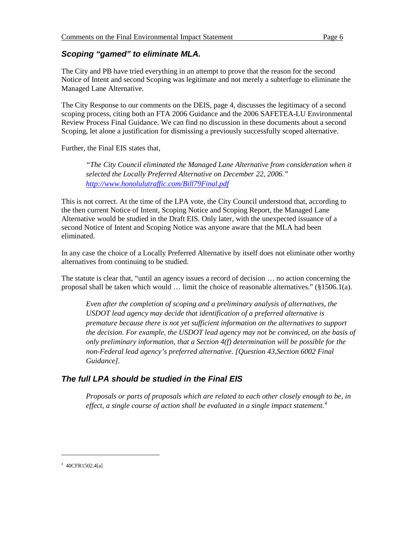## *Scoping "gamed" to eliminate MLA.*

The City and PB have tried everything in an attempt to prove that the reason for the second Notice of Intent and second Scoping was legitimate and not merely a subterfuge to eliminate the Managed Lane Alternative.

The City Response to our comments on the DEIS, page 4, discusses the legitimacy of a second scoping process, citing both an FTA 2006 Guidance and the 2006 SAFETEA-LU Environmental Review Process Final Guidance. We can find no discussion in these documents about a second Scoping, let alone a justification for dismissing a previously successfully scoped alternative.

Further, the Final EIS states that,

*"The City Council eliminated the Managed Lane Alternative from consideration when it selected the Locally Preferred Alternative on December 22, 2006." <http://www.honolulutraffic.com/Bill79Final.pdf>*

This is not correct. At the time of the LPA vote, the City Council understood that, according to the then current Notice of Intent, Scoping Notice and Scoping Report, the Managed Lane Alternative would be studied in the Draft EIS. Only later, with the unexpected issuance of a second Notice of Intent and Scoping Notice was anyone aware that the MLA had been eliminated.

In any case the choice of a Locally Preferred Alternative by itself does not eliminate other worthy alternatives from continuing to be studied.

The statute is clear that, "until an agency issues a record of decision … no action concerning the proposal shall be taken which would  $\ldots$  limit the choice of reasonable alternatives." (§1506.1(a).

*Even after the completion of scoping and a preliminary analysis of alternatives, the USDOT lead agency may decide that identification of a preferred alternative is premature because there is not yet sufficient information on the alternatives to support the decision. For example, the USDOT lead agency may not be convinced, on the basis of only preliminary information, that a Section 4(f) determination will be possible for the non-Federal lead agency's preferred alternative. [Question 43,Section 6002 Final Guidance].*

# *The full LPA should be studied in the Final EIS*

*Proposals or parts of proposals which are related to each other closely enough to be, in effect, a single course of action shall be evaluated in a single impact statement.[4](#page-5-0)*

<span id="page-5-0"></span><sup>4</sup> 40CFR1502.4[a]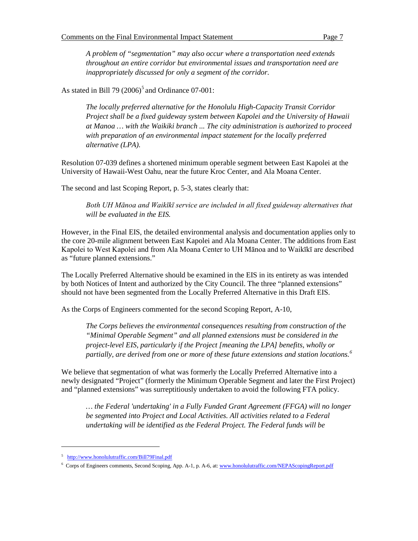*A problem of "segmentation" may also occur where a transportation need extends throughout an entire corridor but environmental issues and transportation need are inappropriately discussed for only a segment of the corridor.*

As stated in Bill 79  $(2006)^5$  $(2006)^5$  and Ordinance 07-001:

*The locally preferred alternative for the Honolulu High-Capacity Transit Corridor Project shall be a fixed guideway system between Kapolei and the University of Hawaii at Manoa … with the Waikiki branch ... The city administration is authorized to proceed with preparation of an environmental impact statement for the locally preferred alternative (LPA).*

Resolution 07-039 defines a shortened minimum operable segment between East Kapolei at the University of Hawaii-West Oahu, near the future Kroc Center, and Ala Moana Center.

The second and last Scoping Report, p. 5-3, states clearly that:

*Both UH Mānoa and Waikīkī service are included in all fixed guideway alternatives that will be evaluated in the EIS.* 

However, in the Final EIS, the detailed environmental analysis and documentation applies only to the core 20-mile alignment between East Kapolei and Ala Moana Center. The additions from East Kapolei to West Kapolei and from Ala Moana Center to UH Mānoa and to Waikīkī are described as "future planned extensions."

The Locally Preferred Alternative should be examined in the EIS in its entirety as was intended by both Notices of Intent and authorized by the City Council. The three "planned extensions" should not have been segmented from the Locally Preferred Alternative in this Draft EIS.

As the Corps of Engineers commented for the second Scoping Report, A-10,

*The Corps believes the environmental consequences resulting from construction of the "Minimal Operable Segment" and all planned extensions must be considered in the project-level EIS, particularly if the Project [meaning the LPA] benefits, wholly or partially, are derived from one or more of these future extensions and station locations.[6](#page-6-1)*

We believe that segmentation of what was formerly the Locally Preferred Alternative into a newly designated "Project" (formerly the Minimum Operable Segment and later the First Project) and "planned extensions" was surreptitiously undertaken to avoid the following FTA policy.

*… the Federal 'undertaking' in a Fully Funded Grant Agreement (FFGA) will no longer be segmented into Project and Local Activities. All activities related to a Federal undertaking will be identified as the Federal Project. The Federal funds will be* 

<span id="page-6-0"></span><sup>&</sup>lt;sup>5</sup> http://www.honolulutraffic.com/Bill79Final.pdf

<span id="page-6-1"></span><sup>&</sup>lt;sup>6</sup> Corps of Engineers comments, Second Scoping, App. A-1, p. A-6, at[: www.honolulutraffic.com/NEPAScopingReport.pdf](http://www.honolulutraffic.com/NEPAScopingReport.pdf)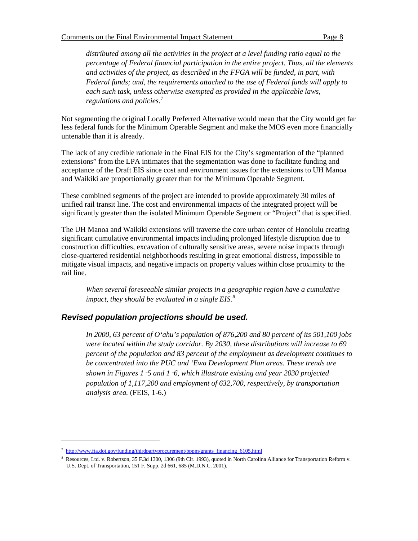*distributed among all the activities in the project at a level funding ratio equal to the percentage of Federal financial participation in the entire project. Thus, all the elements and activities of the project, as described in the FFGA will be funded, in part, with Federal funds; and, the requirements attached to the use of Federal funds will apply to each such task, unless otherwise exempted as provided in the applicable laws, regulations and policies.[7](#page-7-0)*

Not segmenting the original Locally Preferred Alternative would mean that the City would get far less federal funds for the Minimum Operable Segment and make the MOS even more financially untenable than it is already.

The lack of any credible rationale in the Final EIS for the City's segmentation of the "planned extensions" from the LPA intimates that the segmentation was done to facilitate funding and acceptance of the Draft EIS since cost and environment issues for the extensions to UH Manoa and Waikiki are proportionally greater than for the Minimum Operable Segment.

These combined segments of the project are intended to provide approximately 30 miles of unified rail transit line. The cost and environmental impacts of the integrated project will be significantly greater than the isolated Minimum Operable Segment or "Project" that is specified.

The UH Manoa and Waikiki extensions will traverse the core urban center of Honolulu creating significant cumulative environmental impacts including prolonged lifestyle disruption due to construction difficulties, excavation of culturally sensitive areas, severe noise impacts through close-quartered residential neighborhoods resulting in great emotional distress, impossible to mitigate visual impacts, and negative impacts on property values within close proximity to the rail line.

*When several foreseeable similar projects in a geographic region have a cumulative impact, they should be evaluated in a single EIS.[8](#page-7-1)*

## *Revised population projections should be used.*

*In 2000, 63 percent of O'ahu's population of 876,200 and 80 percent of its 501,100 jobs were located within the study corridor. By 2030, these distributions will increase to 69 percent of the population and 83 percent of the employment as development continues to be concentrated into the PUC and 'Ewa Development Plan areas. These trends are shown in Figures 1*‑*5 and 1*‑*6, which illustrate existing and year 2030 projected population of 1,117,200 and employment of 632,700, respectively, by transportation analysis area.* (FEIS, 1-6.)

<span id="page-7-0"></span><sup>&</sup>lt;sup>7</sup> http://www.fta.dot.gov/funding/thirdpartyprocurement/bppm/grants\_financing\_6105.html

<span id="page-7-1"></span><sup>8</sup> Resources, Ltd. v. Robertson, 35 F.3d 1300, 1306 (9th Cir. 1993), quoted in North Carolina Alliance for Transportation Reform v. U.S. Dept. of Transportation, 151 F. Supp. 2d 661, 685 (M.D.N.C. 2001).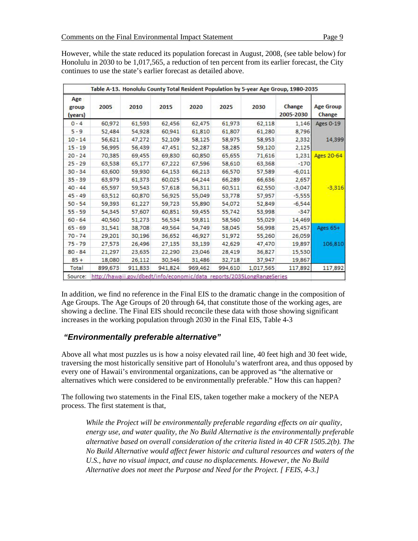| <b>Age Group</b><br>Change | Change<br>2005-2030 | 2030      | 2025    | 2020    | 2015    | 2010    | 2005    | Age<br>group<br>(years) |
|----------------------------|---------------------|-----------|---------|---------|---------|---------|---------|-------------------------|
| <b>Ages 0-19</b>           | 1,146               | 62,118    | 61,973  | 62,475  | 62,456  | 61,593  | 60,972  | $0 - 4$                 |
|                            | 8,796               | 61,280    | 61,807  | 61,810  | 60,941  | 54,928  | 52,484  | $5 - 9$                 |
| 14,399                     | 2,332               | 58,953    | 58,975  | 58,125  | 52,109  | 47,272  | 56,621  | $10 - 14$               |
|                            | 2,125               | 59,120    | 58,285  | 52,287  | 47,451  | 56,439  | 56,995  | $15 - 19$               |
| <b>Ages 20-64</b>          | 1,231               | 71,616    | 65,655  | 60,850  | 69,830  | 69,455  | 70,385  | $20 - 24$               |
|                            | $-170$              | 63,368    | 58,610  | 67,596  | 67,222  | 65,177  | 63,538  | $25 - 29$               |
|                            | $-6,011$            | 57,589    | 66,570  | 66,213  | 64.153  | 59,930  | 63,600  | $30 - 34$               |
|                            | 2,657               | 66,636    | 66,289  | 64,244  | 60,025  | 61,373  | 63,979  | $35 - 39$               |
| $-3,316$                   | $-3,047$            | 62,550    | 60,511  | 56,311  | 57,618  | 59,543  | 65,597  | $40 - 44$               |
|                            | $-5,555$            | 57,957    | 53,778  | 55,049  | 56,925  | 60,870  | 63,512  | $45 - 49$               |
|                            | $-6,544$            | 52,849    | 54,072  | 55,890  | 59.723  | 61,227  | 59,393  | $50 - 54$               |
|                            | $-347$              | 53,998    | 55,742  | 59,455  | 60,851  | 57,607  | 54,345  | $55 - 59$               |
|                            | 14,469              | 55,029    | 58,560  | 59,811  | 56,534  | 51,273  | 40,560  | $60 - 64$               |
| Ages 65+                   | 25,457              | 56,998    | 58,045  | 54,749  | 49,564  | 38,708  | 31,541  | $65 - 69$               |
|                            | 26,059              | 55,260    | 51,972  | 46,927  | 36,652  | 30,196  | 29,201  | $70 - 74$               |
| 106,810                    | 19,897              | 47,470    | 42,629  | 33,139  | 27,135  | 26,496  | 27,573  | $75 - 79$               |
|                            | 15,530              | 36,827    | 28,419  | 23,046  | 22,290  | 23,635  | 21,297  | $80 - 84$               |
|                            | 19,867              | 37,947    | 32,718  | 31,486  | 30,346  | 26,112  | 18,080  | $85 +$                  |
| 117,892                    | 117,892             | 1,017,565 | 994,610 | 969,462 | 941,824 | 911,833 | 899,673 | Total                   |

However, while the state reduced its population forecast in August, 2008, (see table below) for Honolulu in 2030 to be 1,017,565, a reduction of ten percent from its earlier forecast, the City continues to use the state's earlier forecast as detailed above.

In addition, we find no reference in the Final EIS to the dramatic change in the composition of Age Groups. The Age Groups of 20 through 64, that constitute those of the working ages, are showing a decline. The Final EIS should reconcile these data with those showing significant increases in the working population through 2030 in the Final EIS, Table 4-3

# *"Environmentally preferable alternative"*

Above all what most puzzles us is how a noisy elevated rail line, 40 feet high and 30 feet wide, traversing the most historically sensitive part of Honolulu's waterfront area, and thus opposed by every one of Hawaii's environmental organizations, can be approved as "the alternative or alternatives which were considered to be environmentally preferable." How this can happen?

The following two statements in the Final EIS, taken together make a mockery of the NEPA process. The first statement is that,

*While the Project will be environmentally preferable regarding effects on air quality, energy use, and water quality, the No Build Alternative is the environmentally preferable alternative based on overall consideration of the criteria listed in 40 CFR 1505.2(b). The No Build Alternative would affect fewer historic and cultural resources and waters of the U.S., have no visual impact, and cause no displacements. However, the No Build Alternative does not meet the Purpose and Need for the Project. [ FEIS, 4-3.]*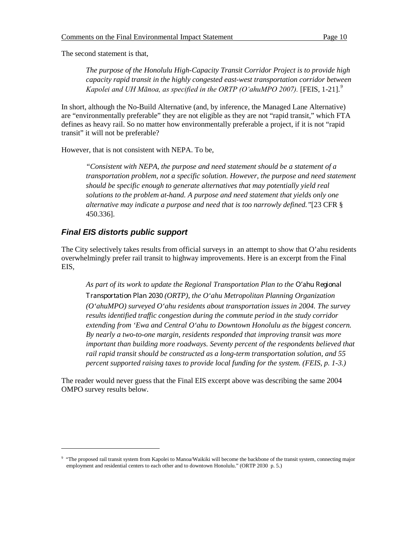The second statement is that,

*The purpose of the Honolulu High-Capacity Transit Corridor Project is to provide high capacity rapid transit in the highly congested east-west transportation corridor between*  Kapolei and UH Mānoa, as specified in the ORTP (O'ahuMPO 2007). [FEIS, 1-21].<sup>[9](#page-9-0)</sup>

In short, although the No-Build Alternative (and, by inference, the Managed Lane Alternative) are "environmentally preferable" they are not eligible as they are not "rapid transit," which FTA defines as heavy rail. So no matter how environmentally preferable a project, if it is not "rapid transit" it will not be preferable?

However, that is not consistent with NEPA. To be,

*"Consistent with NEPA, the purpose and need statement should be a statement of a transportation problem, not a specific solution. However, the purpose and need statement should be specific enough to generate alternatives that may potentially yield real solutions to the problem at-hand. A purpose and need statement that yields only one alternative may indicate a purpose and need that is too narrowly defined."*[23 CFR § 450.336].

## *Final EIS distorts public support*

 $\overline{a}$ 

The City selectively takes results from official surveys in an attempt to show that O'ahu residents overwhelmingly prefer rail transit to highway improvements. Here is an excerpt from the Final EIS,

As part of its work to update the Regional Transportation Plan to the O'ahu Regional Transportation Plan 2030 *(ORTP), the O'ahu Metropolitan Planning Organization (O'ahuMPO) surveyed O'ahu residents about transportation issues in 2004. The survey results identified traffic congestion during the commute period in the study corridor extending from 'Ewa and Central O'ahu to Downtown Honolulu as the biggest concern. By nearly a two-to-one margin, residents responded that improving transit was more important than building more roadways. Seventy percent of the respondents believed that rail rapid transit should be constructed as a long-term transportation solution, and 55 percent supported raising taxes to provide local funding for the system. (FEIS, p. 1-3.)*

The reader would never guess that the Final EIS excerpt above was describing the same 2004 OMPO survey results below.

<span id="page-9-0"></span><sup>&</sup>lt;sup>9</sup> "The proposed rail transit system from Kapolei to Manoa/Waikiki will become the backbone of the transit system, connecting major employment and residential centers to each other and to downtown Honolulu." (ORTP 2030 p. 5.)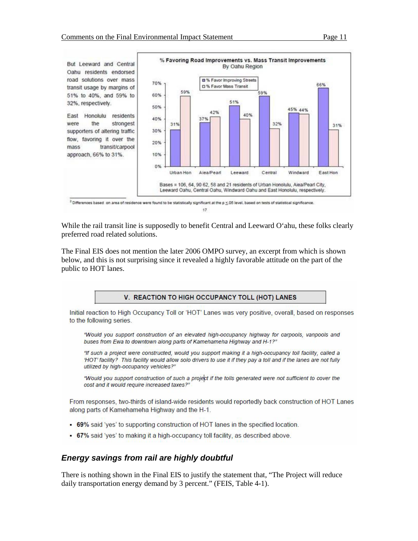

17

While the rail transit line is supposedly to benefit Central and Leeward O'ahu, these folks clearly preferred road related solutions.

The Final EIS does not mention the later 2006 OMPO survey, an excerpt from which is shown below, and this is not surprising since it revealed a highly favorable attitude on the part of the public to HOT lanes.

#### V. REACTION TO HIGH OCCUPANCY TOLL (HOT) LANES

Initial reaction to High Occupancy Toll or 'HOT' Lanes was very positive, overall, based on responses to the following series.

"Would you support construction of an elevated high-occupancy highway for carpools, vanpools and buses from Ewa to downtown along parts of Kamehameha Highway and H-1?"

"If such a project were constructed, would you support making it a high-occupancy toll facility, called a 'HOT' facility? This facility would allow solo drivers to use it if they pay a toll and if the lanes are not fully utilized by high-occupancy vehicles?"

"Would you support construction of such a project if the tolls generated were not sufficient to cover the cost and it would require increased taxes?"

From responses, two-thirds of island-wide residents would reportedly back construction of HOT Lanes along parts of Kamehameha Highway and the H-1.

- . 69% said 'yes' to supporting construction of HOT lanes in the specified location.
- 67% said 'yes' to making it a high-occupancy toll facility, as described above.

## *Energy savings from rail are highly doubtful*

There is nothing shown in the Final EIS to justify the statement that, "The Project will reduce daily transportation energy demand by 3 percent." (FEIS, Table 4-1).